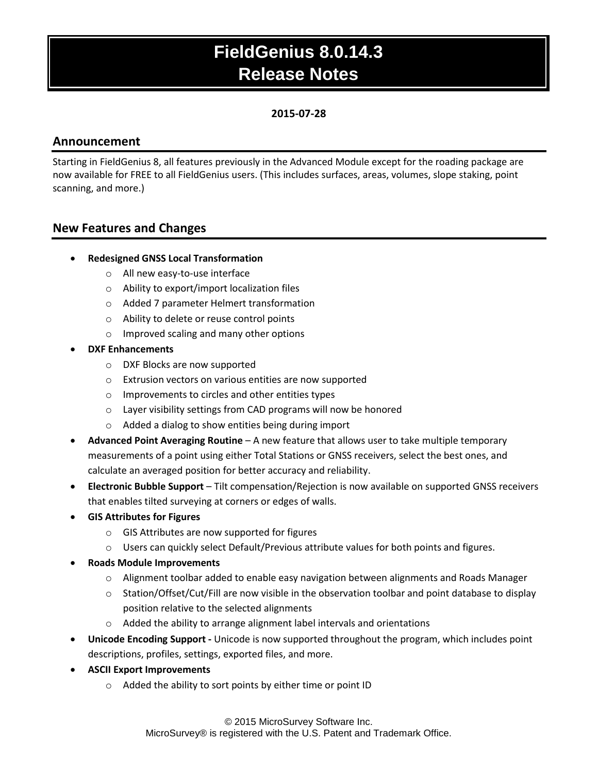### **2015-07-28**

### **Announcement**

Starting in FieldGenius 8, all features previously in the Advanced Module except for the roading package are now available for FREE to all FieldGenius users. (This includes surfaces, areas, volumes, slope staking, point scanning, and more.)

### **New Features and Changes**

- **Redesigned GNSS Local Transformation**
	- o All new easy-to-use interface
	- o Ability to export/import localization files
	- o Added 7 parameter Helmert transformation
	- o Ability to delete or reuse control points
	- o Improved scaling and many other options
- **DXF Enhancements**
	- o DXF Blocks are now supported
	- o Extrusion vectors on various entities are now supported
	- o Improvements to circles and other entities types
	- o Layer visibility settings from CAD programs will now be honored
	- o Added a dialog to show entities being during import
- **Advanced Point Averaging Routine** A new feature that allows user to take multiple temporary measurements of a point using either Total Stations or GNSS receivers, select the best ones, and calculate an averaged position for better accuracy and reliability.
- **Electronic Bubble Support** Tilt compensation/Rejection is now available on supported GNSS receivers that enables tilted surveying at corners or edges of walls.
- **GIS Attributes for Figures**
	- o GIS Attributes are now supported for figures
	- $\circ$  Users can quickly select Default/Previous attribute values for both points and figures.
- **Roads Module Improvements**
	- $\circ$  Alignment toolbar added to enable easy navigation between alignments and Roads Manager
	- $\circ$  Station/Offset/Cut/Fill are now visible in the observation toolbar and point database to display position relative to the selected alignments
	- o Added the ability to arrange alignment label intervals and orientations
- **Unicode Encoding Support -** Unicode is now supported throughout the program, which includes point descriptions, profiles, settings, exported files, and more.
- **ASCII Export Improvements**
	- o Added the ability to sort points by either time or point ID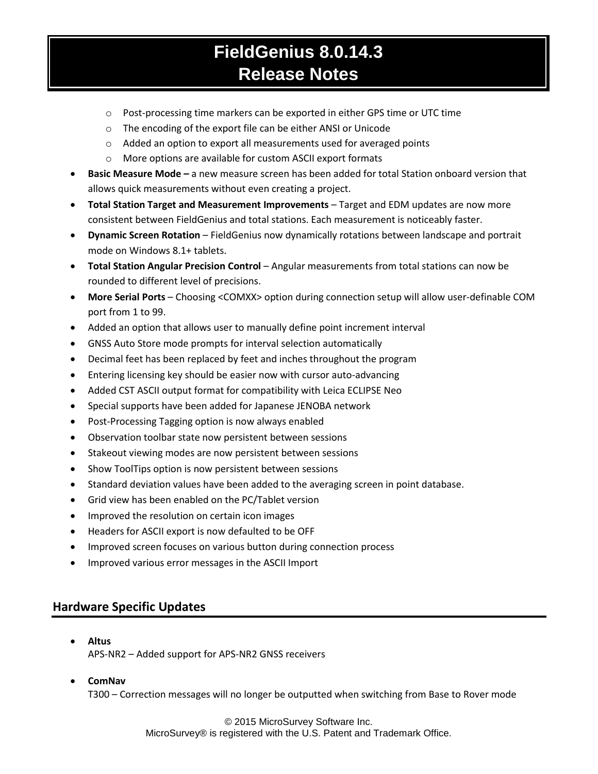- $\circ$  Post-processing time markers can be exported in either GPS time or UTC time
- o The encoding of the export file can be either ANSI or Unicode
- o Added an option to export all measurements used for averaged points
- o More options are available for custom ASCII export formats
- **Basic Measure Mode** a new measure screen has been added for total Station onboard version that allows quick measurements without even creating a project.
- **Total Station Target and Measurement Improvements** Target and EDM updates are now more consistent between FieldGenius and total stations. Each measurement is noticeably faster.
- **Dynamic Screen Rotation**  FieldGenius now dynamically rotations between landscape and portrait mode on Windows 8.1+ tablets.
- **Total Station Angular Precision Control** Angular measurements from total stations can now be rounded to different level of precisions.
- **More Serial Ports**  Choosing <COMXX> option during connection setup will allow user-definable COM port from 1 to 99.
- Added an option that allows user to manually define point increment interval
- GNSS Auto Store mode prompts for interval selection automatically
- Decimal feet has been replaced by feet and inches throughout the program
- Entering licensing key should be easier now with cursor auto-advancing
- Added CST ASCII output format for compatibility with Leica ECLIPSE Neo
- Special supports have been added for Japanese JENOBA network
- Post-Processing Tagging option is now always enabled
- Observation toolbar state now persistent between sessions
- Stakeout viewing modes are now persistent between sessions
- Show ToolTips option is now persistent between sessions
- Standard deviation values have been added to the averaging screen in point database.
- Grid view has been enabled on the PC/Tablet version
- Improved the resolution on certain icon images
- Headers for ASCII export is now defaulted to be OFF
- Improved screen focuses on various button during connection process
- Improved various error messages in the ASCII Import

### **Hardware Specific Updates**

- **Altus** APS-NR2 – Added support for APS-NR2 GNSS receivers
- **ComNav**

T300 – Correction messages will no longer be outputted when switching from Base to Rover mode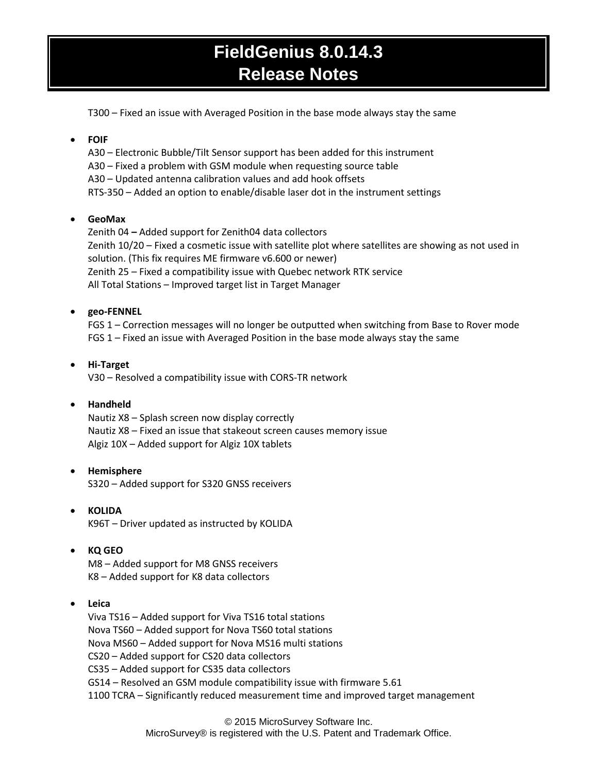T300 – Fixed an issue with Averaged Position in the base mode always stay the same

### **FOIF**

A30 – Electronic Bubble/Tilt Sensor support has been added for this instrument A30 – Fixed a problem with GSM module when requesting source table A30 – Updated antenna calibration values and add hook offsets RTS-350 – Added an option to enable/disable laser dot in the instrument settings

### **GeoMax**

Zenith 04 **–** Added support for Zenith04 data collectors Zenith 10/20 – Fixed a cosmetic issue with satellite plot where satellites are showing as not used in solution. (This fix requires ME firmware v6.600 or newer) Zenith 25 – Fixed a compatibility issue with Quebec network RTK service All Total Stations – Improved target list in Target Manager

### **geo-FENNEL**

FGS 1 – Correction messages will no longer be outputted when switching from Base to Rover mode FGS 1 – Fixed an issue with Averaged Position in the base mode always stay the same

#### **Hi-Target** V30 – Resolved a compatibility issue with CORS-TR network

### **Handheld**

Nautiz X8 – Splash screen now display correctly Nautiz X8 – Fixed an issue that stakeout screen causes memory issue Algiz 10X – Added support for Algiz 10X tablets

### **Hemisphere**

S320 – Added support for S320 GNSS receivers

 **KOLIDA** K96T – Driver updated as instructed by KOLIDA

### **KQ GEO**

M8 – Added support for M8 GNSS receivers K8 – Added support for K8 data collectors

### **Leica**

Viva TS16 – Added support for Viva TS16 total stations Nova TS60 – Added support for Nova TS60 total stations Nova MS60 – Added support for Nova MS16 multi stations CS20 – Added support for CS20 data collectors CS35 – Added support for CS35 data collectors GS14 – Resolved an GSM module compatibility issue with firmware 5.61 1100 TCRA – Significantly reduced measurement time and improved target management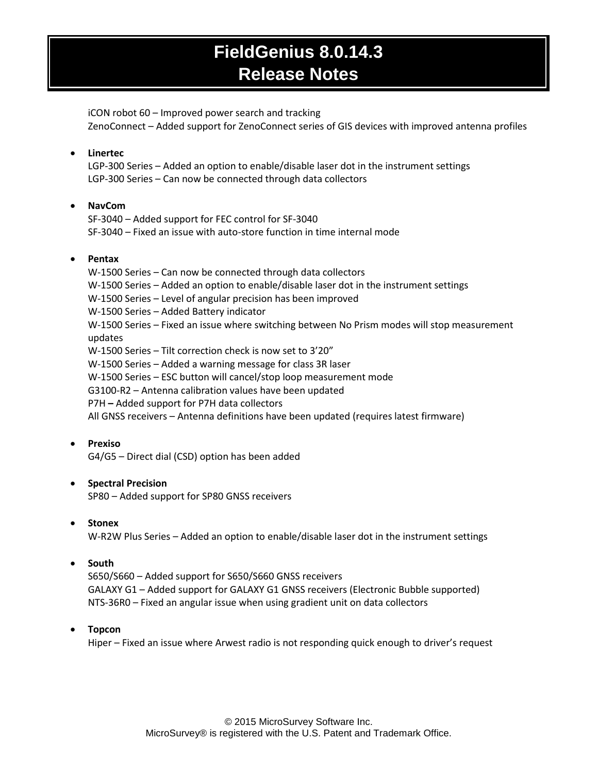iCON robot 60 – Improved power search and tracking ZenoConnect – Added support for ZenoConnect series of GIS devices with improved antenna profiles

### **Linertec**

LGP-300 Series – Added an option to enable/disable laser dot in the instrument settings LGP-300 Series – Can now be connected through data collectors

### **NavCom**

SF-3040 – Added support for FEC control for SF-3040 SF-3040 – Fixed an issue with auto-store function in time internal mode

### **Pentax**

W-1500 Series – Can now be connected through data collectors W-1500 Series – Added an option to enable/disable laser dot in the instrument settings W-1500 Series – Level of angular precision has been improved W-1500 Series – Added Battery indicator W-1500 Series – Fixed an issue where switching between No Prism modes will stop measurement updates W-1500 Series – Tilt correction check is now set to 3'20" W-1500 Series – Added a warning message for class 3R laser W-1500 Series – ESC button will cancel/stop loop measurement mode G3100-R2 – Antenna calibration values have been updated P7H **–** Added support for P7H data collectors All GNSS receivers – Antenna definitions have been updated (requires latest firmware)

### **Prexiso**

G4/G5 – Direct dial (CSD) option has been added

### **•** Spectral Precision

SP80 – Added support for SP80 GNSS receivers

### **Stonex**

W-R2W Plus Series – Added an option to enable/disable laser dot in the instrument settings

### **South**

S650/S660 – Added support for S650/S660 GNSS receivers GALAXY G1 – Added support for GALAXY G1 GNSS receivers (Electronic Bubble supported) NTS-36R0 – Fixed an angular issue when using gradient unit on data collectors

### **Topcon**

Hiper – Fixed an issue where Arwest radio is not responding quick enough to driver's request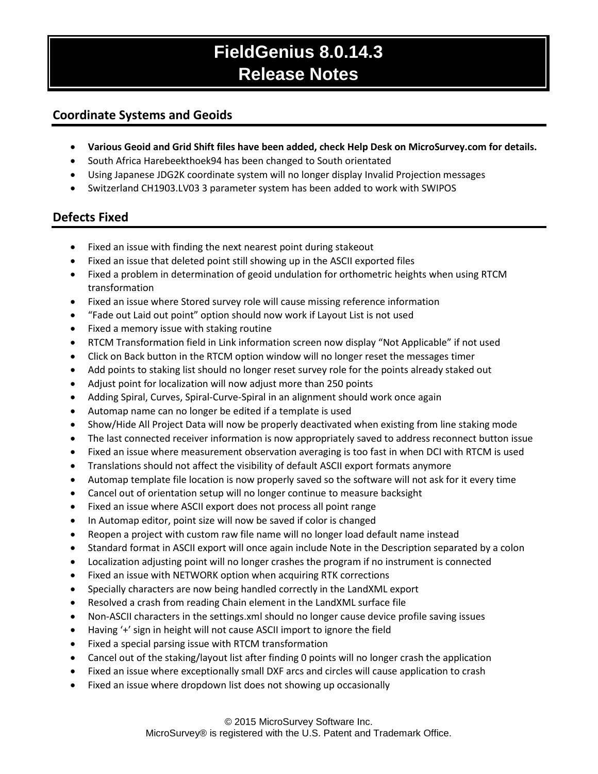### **Coordinate Systems and Geoids**

- **Various Geoid and Grid Shift files have been added, check Help Desk on MicroSurvey.com for details.**
- South Africa Harebeekthoek94 has been changed to South orientated
- Using Japanese JDG2K coordinate system will no longer display Invalid Projection messages
- Switzerland CH1903.LV03 3 parameter system has been added to work with SWIPOS

### **Defects Fixed**

- Fixed an issue with finding the next nearest point during stakeout
- Fixed an issue that deleted point still showing up in the ASCII exported files
- Fixed a problem in determination of geoid undulation for orthometric heights when using RTCM transformation
- Fixed an issue where Stored survey role will cause missing reference information
- "Fade out Laid out point" option should now work if Layout List is not used
- Fixed a memory issue with staking routine
- RTCM Transformation field in Link information screen now display "Not Applicable" if not used
- Click on Back button in the RTCM option window will no longer reset the messages timer
- Add points to staking list should no longer reset survey role for the points already staked out
- Adjust point for localization will now adjust more than 250 points
- Adding Spiral, Curves, Spiral-Curve-Spiral in an alignment should work once again
- Automap name can no longer be edited if a template is used
- Show/Hide All Project Data will now be properly deactivated when existing from line staking mode
- The last connected receiver information is now appropriately saved to address reconnect button issue
- Fixed an issue where measurement observation averaging is too fast in when DCI with RTCM is used
- Translations should not affect the visibility of default ASCII export formats anymore
- Automap template file location is now properly saved so the software will not ask for it every time
- Cancel out of orientation setup will no longer continue to measure backsight
- Fixed an issue where ASCII export does not process all point range
- In Automap editor, point size will now be saved if color is changed
- Reopen a project with custom raw file name will no longer load default name instead
- Standard format in ASCII export will once again include Note in the Description separated by a colon
- Localization adjusting point will no longer crashes the program if no instrument is connected
- Fixed an issue with NETWORK option when acquiring RTK corrections
- Specially characters are now being handled correctly in the LandXML export
- Resolved a crash from reading Chain element in the LandXML surface file
- Non-ASCII characters in the settings.xml should no longer cause device profile saving issues
- Having '+' sign in height will not cause ASCII import to ignore the field
- Fixed a special parsing issue with RTCM transformation
- Cancel out of the staking/layout list after finding 0 points will no longer crash the application
- Fixed an issue where exceptionally small DXF arcs and circles will cause application to crash
- Fixed an issue where dropdown list does not showing up occasionally